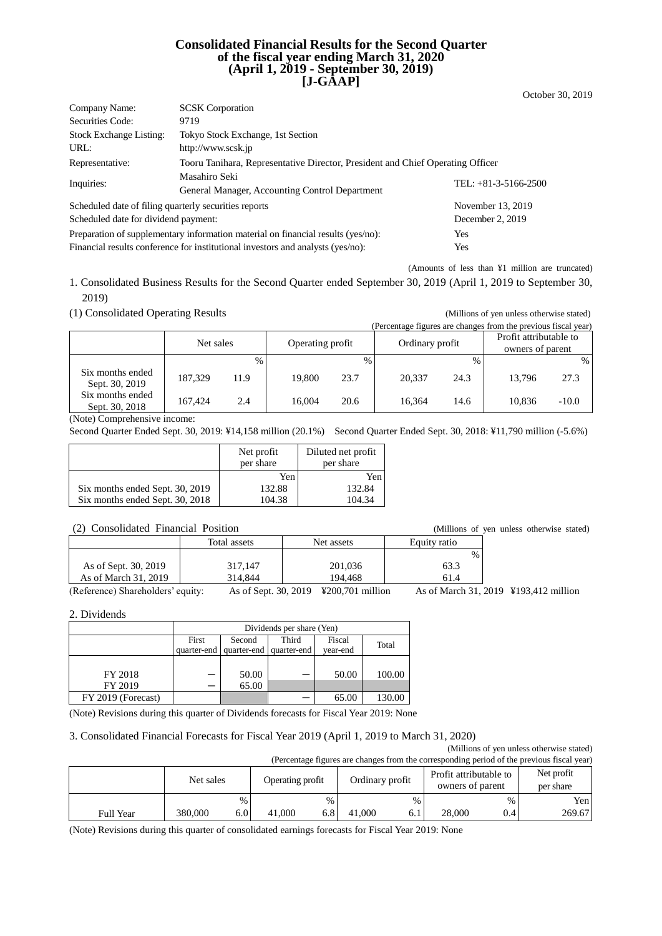### **Consolidated Financial Results for the Second Quarter of the fiscal year ending March 31, 2020 (April 1, 2019 - September 30, 2019) [J-GAAP]**

| Company Name:                                                                           | <b>SCSK</b> Corporation                                                        |                        |  |  |  |  |
|-----------------------------------------------------------------------------------------|--------------------------------------------------------------------------------|------------------------|--|--|--|--|
| Securities Code:                                                                        | 9719                                                                           |                        |  |  |  |  |
| <b>Stock Exchange Listing:</b>                                                          | Tokyo Stock Exchange, 1st Section                                              |                        |  |  |  |  |
| URL:                                                                                    | http://www.scsk.jp                                                             |                        |  |  |  |  |
| Representative:                                                                         | Tooru Tanihara, Representative Director, President and Chief Operating Officer |                        |  |  |  |  |
| Inquiries:                                                                              | Masahiro Seki                                                                  | TEL: $+81-3-5166-2500$ |  |  |  |  |
|                                                                                         | General Manager, Accounting Control Department                                 |                        |  |  |  |  |
| Scheduled date of filing quarterly securities reports                                   |                                                                                | November 13, 2019      |  |  |  |  |
| Scheduled date for dividend payment:                                                    |                                                                                | December 2, 2019       |  |  |  |  |
| Preparation of supplementary information material on financial results (yes/no):<br>Yes |                                                                                |                        |  |  |  |  |

Financial results conference for institutional investors and analysts (yes/no): Yes

(Amounts of less than ¥1 million are truncated)

October 30, 2019

1. Consolidated Business Results for the Second Quarter ended September 30, 2019 (April 1, 2019 to September 30, 2019)

(1) Consolidated Operating Results (Millions of yen unless otherwise stated)

| (Percentage figures are changes from the previous fiscal year) |           |               |                  |      |                 |               |                                            |         |
|----------------------------------------------------------------|-----------|---------------|------------------|------|-----------------|---------------|--------------------------------------------|---------|
|                                                                | Net sales |               | Operating profit |      | Ordinary profit |               | Profit attributable to<br>owners of parent |         |
|                                                                |           | $\frac{0}{0}$ |                  | $\%$ |                 | $\frac{0}{0}$ |                                            | $\%$    |
| Six months ended<br>Sept. 30, 2019                             | 187.329   | 11.9          | 19.800           | 23.7 | 20.337          | 24.3          | 13.796                                     | 27.3    |
| Six months ended<br>Sept. 30, 2018                             | 167.424   | 2.4           | 16.004           | 20.6 | 16.364          | 14.6          | 10.836                                     | $-10.0$ |

(Note) Comprehensive income:

Second Quarter Ended Sept. 30, 2019: ¥14,158 million (20.1%) Second Quarter Ended Sept. 30, 2018: ¥11,790 million (-5.6%)

|                                 | Net profit<br>per share | Diluted net profit<br>per share |
|---------------------------------|-------------------------|---------------------------------|
|                                 | Yen                     | Yen                             |
| Six months ended Sept. 30, 2019 | 132.88                  | 132.84                          |
| Six months ended Sept. 30, 2018 | 104.38                  | 104.34                          |

### (2) Consolidated Financial Position (Millions of yen unless otherwise stated)

| $\mathcal{L}$ . Consondated Thanenal Toshion |                      | чиннопо от                            | ven uniess outerwise state |                                       |
|----------------------------------------------|----------------------|---------------------------------------|----------------------------|---------------------------------------|
|                                              | Total assets         | Net assets                            | Equity ratio               |                                       |
|                                              |                      |                                       | $\%$                       |                                       |
| As of Sept. 30, 2019                         | 317.147              | 201,036                               | 63.3                       |                                       |
| As of March 31, 2019                         | 314.844              | 194.468                               | 61.4                       |                                       |
| (Reference) Shareholders' equity:            | As of Sept. 30, 2019 | $\text{\textsterling}200.701$ million |                            | As of March 31, 2019 ¥193,412 million |

2. Dividends

|                    | Dividends per share (Yen) |                         |             |          |        |  |  |
|--------------------|---------------------------|-------------------------|-------------|----------|--------|--|--|
|                    | First                     | Second                  | Third       | Fiscal   | Total  |  |  |
|                    |                           | quarter-end quarter-end | quarter-end | year-end |        |  |  |
|                    |                           |                         |             |          |        |  |  |
| FY 2018            |                           | 50.00                   |             | 50.00    | 100.00 |  |  |
| FY 2019            |                           | 65.00                   |             |          |        |  |  |
| FY 2019 (Forecast) |                           |                         |             | 65.00    | 130.00 |  |  |

(Note) Revisions during this quarter of Dividends forecasts for Fiscal Year 2019: None

#### 3. Consolidated Financial Forecasts for Fiscal Year 2019 (April 1, 2019 to March 31, 2020)

(Millions of yen unless otherwise stated)

| (Percentage figures are changes from the corresponding period of the previous fiscal year) |           |      |                  |               |                 |      |                                            |      |                         |
|--------------------------------------------------------------------------------------------|-----------|------|------------------|---------------|-----------------|------|--------------------------------------------|------|-------------------------|
|                                                                                            | Net sales |      | Operating profit |               | Ordinary profit |      | Profit attributable to<br>owners of parent |      | Net profit<br>per share |
|                                                                                            |           | $\%$ |                  | $\frac{0}{0}$ |                 | $\%$ |                                            | $\%$ | Yen                     |
| <b>Full Year</b>                                                                           | 380,000   | 6.0  | 41,000           |               | 41,000          | 6.1  | 28,000                                     | 0.4  | 269.67                  |

(Note) Revisions during this quarter of consolidated earnings forecasts for Fiscal Year 2019: None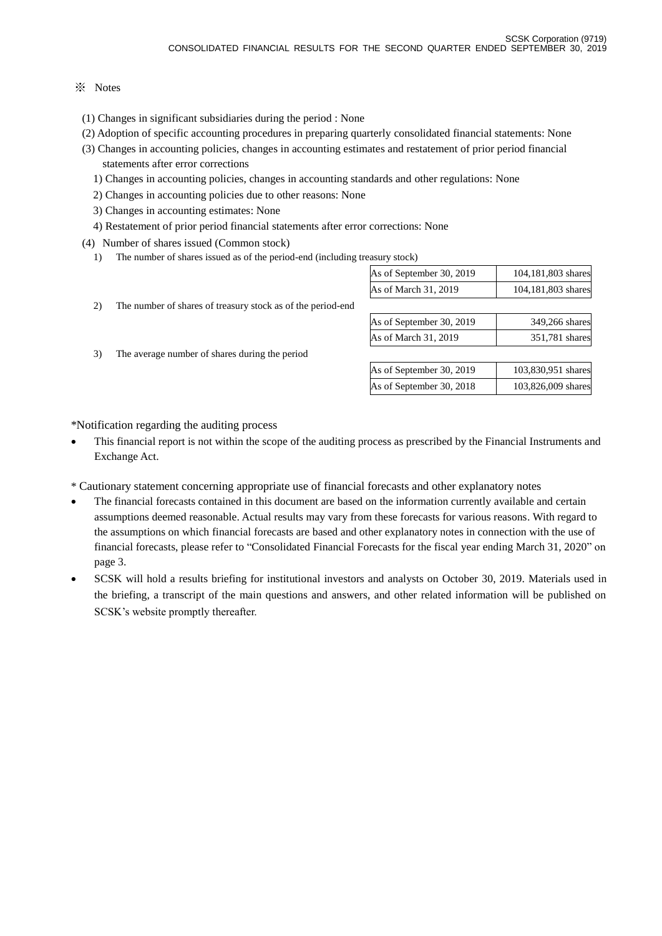### ※ Notes

- (1) Changes in significant subsidiaries during the period : None
- (2) Adoption of specific accounting procedures in preparing quarterly consolidated financial statements: None
- (3) Changes in accounting policies, changes in accounting estimates and restatement of prior period financial statements after error corrections
	- 1) Changes in accounting policies, changes in accounting standards and other regulations: None
	- 2) Changes in accounting policies due to other reasons: None
	- 3) Changes in accounting estimates: None
	- 4) Restatement of prior period financial statements after error corrections: None
- (4) Number of shares issued (Common stock)
	- 1) The number of shares issued as of the period-end (including treasury stock)

|    |                                                             | As of September 30, 2019 | 104,181,803 shares |
|----|-------------------------------------------------------------|--------------------------|--------------------|
|    |                                                             | As of March 31, 2019     | 104,181,803 shares |
| 2) | The number of shares of treasury stock as of the period-end |                          |                    |
|    |                                                             | As of September 30, 2019 | 349,266 shares     |
|    |                                                             | As of March 31, 2019     | 351,781 shares     |
| 3) | The average number of shares during the period              |                          |                    |
|    |                                                             | As of September 30, 2019 | 103,830,951 shares |
|    |                                                             | As of September 30, 2018 | 103,826,009 shares |
|    |                                                             |                          |                    |
|    |                                                             |                          |                    |

\*Notification regarding the auditing process

- This financial report is not within the scope of the auditing process as prescribed by the Financial Instruments and Exchange Act.
- \* Cautionary statement concerning appropriate use of financial forecasts and other explanatory notes
- The financial forecasts contained in this document are based on the information currently available and certain assumptions deemed reasonable. Actual results may vary from these forecasts for various reasons. With regard to the assumptions on which financial forecasts are based and other explanatory notes in connection with the use of financial forecasts, please refer to "Consolidated Financial Forecasts for the fiscal year ending March 31, 2020" on page 3.
- SCSK will hold a results briefing for institutional investors and analysts on October 30, 2019. Materials used in the briefing, a transcript of the main questions and answers, and other related information will be published on SCSK's website promptly thereafter.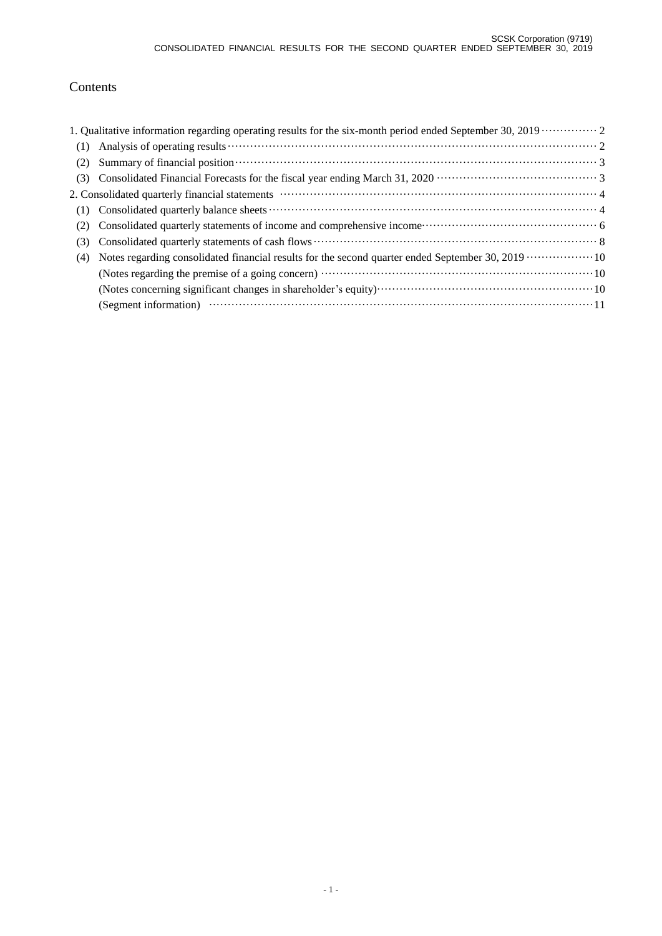## Contents

| Summary of financial position (3) and the summary of financial position (3) and the set of financial position (3) and $\frac{3}{2}$ |
|-------------------------------------------------------------------------------------------------------------------------------------|
|                                                                                                                                     |
|                                                                                                                                     |
|                                                                                                                                     |
|                                                                                                                                     |
|                                                                                                                                     |
| Notes regarding consolidated financial results for the second quarter ended September 30, 2019  10                                  |
|                                                                                                                                     |
|                                                                                                                                     |
|                                                                                                                                     |
|                                                                                                                                     |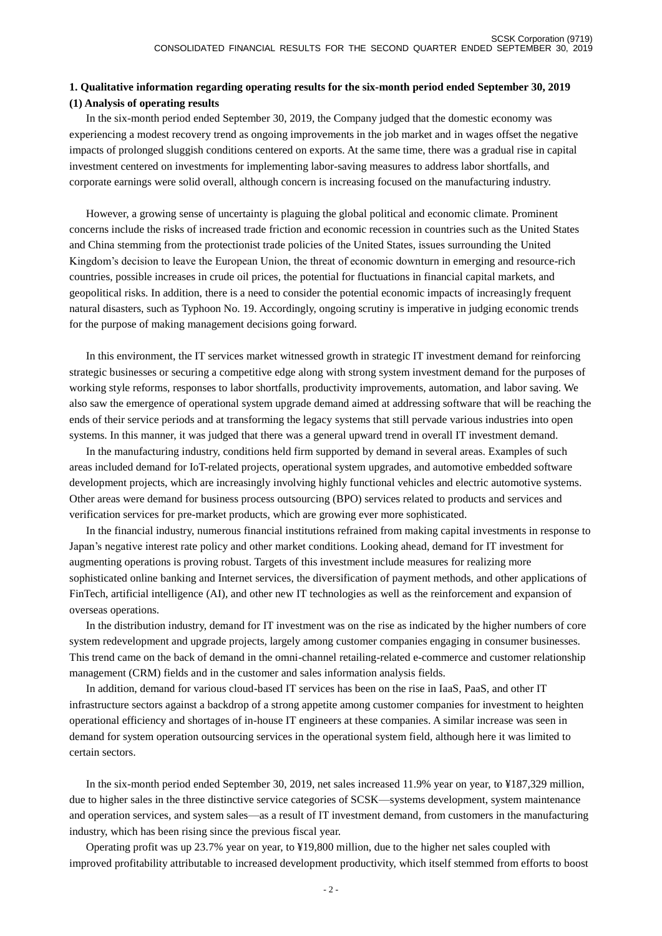### **1. Qualitative information regarding operating results for the six-month period ended September 30, 2019 (1) Analysis of operating results**

In the six-month period ended September 30, 2019, the Company judged that the domestic economy was experiencing a modest recovery trend as ongoing improvements in the job market and in wages offset the negative impacts of prolonged sluggish conditions centered on exports. At the same time, there was a gradual rise in capital investment centered on investments for implementing labor-saving measures to address labor shortfalls, and corporate earnings were solid overall, although concern is increasing focused on the manufacturing industry.

However, a growing sense of uncertainty is plaguing the global political and economic climate. Prominent concerns include the risks of increased trade friction and economic recession in countries such as the United States and China stemming from the protectionist trade policies of the United States, issues surrounding the United Kingdom's decision to leave the European Union, the threat of economic downturn in emerging and resource-rich countries, possible increases in crude oil prices, the potential for fluctuations in financial capital markets, and geopolitical risks. In addition, there is a need to consider the potential economic impacts of increasingly frequent natural disasters, such as Typhoon No. 19. Accordingly, ongoing scrutiny is imperative in judging economic trends for the purpose of making management decisions going forward.

In this environment, the IT services market witnessed growth in strategic IT investment demand for reinforcing strategic businesses or securing a competitive edge along with strong system investment demand for the purposes of working style reforms, responses to labor shortfalls, productivity improvements, automation, and labor saving. We also saw the emergence of operational system upgrade demand aimed at addressing software that will be reaching the ends of their service periods and at transforming the legacy systems that still pervade various industries into open systems. In this manner, it was judged that there was a general upward trend in overall IT investment demand.

In the manufacturing industry, conditions held firm supported by demand in several areas. Examples of such areas included demand for IoT-related projects, operational system upgrades, and automotive embedded software development projects, which are increasingly involving highly functional vehicles and electric automotive systems. Other areas were demand for business process outsourcing (BPO) services related to products and services and verification services for pre-market products, which are growing ever more sophisticated.

In the financial industry, numerous financial institutions refrained from making capital investments in response to Japan's negative interest rate policy and other market conditions. Looking ahead, demand for IT investment for augmenting operations is proving robust. Targets of this investment include measures for realizing more sophisticated online banking and Internet services, the diversification of payment methods, and other applications of FinTech, artificial intelligence (AI), and other new IT technologies as well as the reinforcement and expansion of overseas operations.

In the distribution industry, demand for IT investment was on the rise as indicated by the higher numbers of core system redevelopment and upgrade projects, largely among customer companies engaging in consumer businesses. This trend came on the back of demand in the omni-channel retailing-related e-commerce and customer relationship management (CRM) fields and in the customer and sales information analysis fields.

In addition, demand for various cloud-based IT services has been on the rise in IaaS, PaaS, and other IT infrastructure sectors against a backdrop of a strong appetite among customer companies for investment to heighten operational efficiency and shortages of in-house IT engineers at these companies. A similar increase was seen in demand for system operation outsourcing services in the operational system field, although here it was limited to certain sectors.

In the six-month period ended September 30, 2019, net sales increased 11.9% year on year, to ¥187,329 million, due to higher sales in the three distinctive service categories of SCSK—systems development, system maintenance and operation services, and system sales—as a result of IT investment demand, from customers in the manufacturing industry, which has been rising since the previous fiscal year.

Operating profit was up 23.7% year on year, to ¥19,800 million, due to the higher net sales coupled with improved profitability attributable to increased development productivity, which itself stemmed from efforts to boost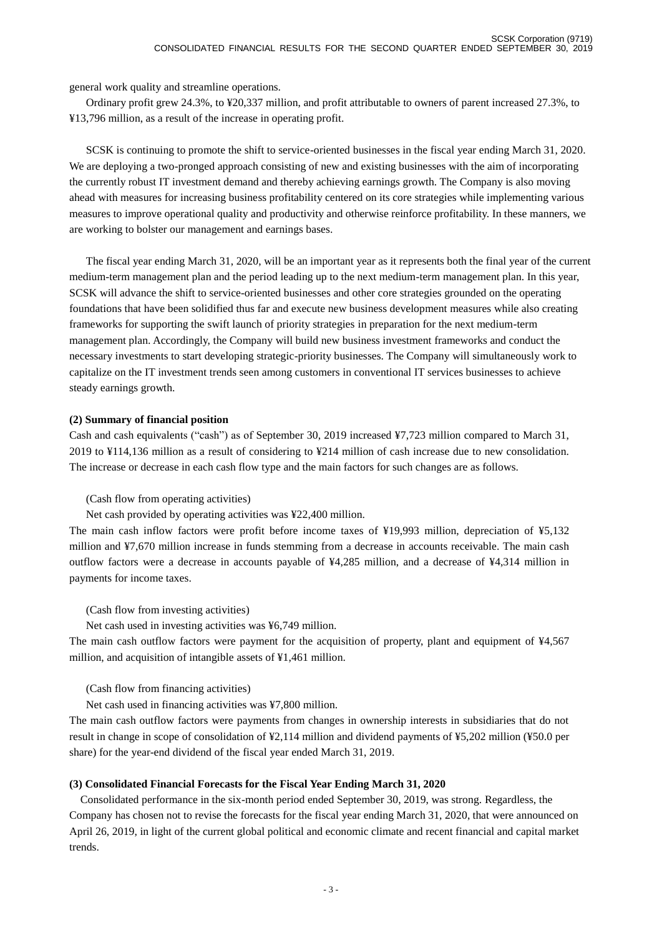general work quality and streamline operations.

Ordinary profit grew 24.3%, to ¥20,337 million, and profit attributable to owners of parent increased 27.3%, to ¥13,796 million, as a result of the increase in operating profit.

SCSK is continuing to promote the shift to service-oriented businesses in the fiscal year ending March 31, 2020. We are deploying a two-pronged approach consisting of new and existing businesses with the aim of incorporating the currently robust IT investment demand and thereby achieving earnings growth. The Company is also moving ahead with measures for increasing business profitability centered on its core strategies while implementing various measures to improve operational quality and productivity and otherwise reinforce profitability. In these manners, we are working to bolster our management and earnings bases.

The fiscal year ending March 31, 2020, will be an important year as it represents both the final year of the current medium-term management plan and the period leading up to the next medium-term management plan. In this year, SCSK will advance the shift to service-oriented businesses and other core strategies grounded on the operating foundations that have been solidified thus far and execute new business development measures while also creating frameworks for supporting the swift launch of priority strategies in preparation for the next medium-term management plan. Accordingly, the Company will build new business investment frameworks and conduct the necessary investments to start developing strategic-priority businesses. The Company will simultaneously work to capitalize on the IT investment trends seen among customers in conventional IT services businesses to achieve steady earnings growth.

#### **(2) Summary of financial position**

Cash and cash equivalents ("cash") as of September 30, 2019 increased ¥7,723 million compared to March 31, 2019 to ¥114,136 million as a result of considering to ¥214 million of cash increase due to new consolidation. The increase or decrease in each cash flow type and the main factors for such changes are as follows.

(Cash flow from operating activities)

Net cash provided by operating activities was ¥22,400 million.

The main cash inflow factors were profit before income taxes of ¥19,993 million, depreciation of ¥5,132 million and ¥7,670 million increase in funds stemming from a decrease in accounts receivable. The main cash outflow factors were a decrease in accounts payable of ¥4,285 million, and a decrease of ¥4,314 million in payments for income taxes.

(Cash flow from investing activities)

Net cash used in investing activities was ¥6,749 million.

The main cash outflow factors were payment for the acquisition of property, plant and equipment of ¥4,567 million, and acquisition of intangible assets of ¥1,461 million.

(Cash flow from financing activities)

Net cash used in financing activities was ¥7,800 million.

The main cash outflow factors were payments from changes in ownership interests in subsidiaries that do not result in change in scope of consolidation of ¥2,114 million and dividend payments of ¥5,202 million (¥50.0 per share) for the year-end dividend of the fiscal year ended March 31, 2019.

#### **(3) Consolidated Financial Forecasts for the Fiscal Year Ending March 31, 2020**

Consolidated performance in the six-month period ended September 30, 2019, was strong. Regardless, the Company has chosen not to revise the forecasts for the fiscal year ending March 31, 2020, that were announced on April 26, 2019, in light of the current global political and economic climate and recent financial and capital market trends.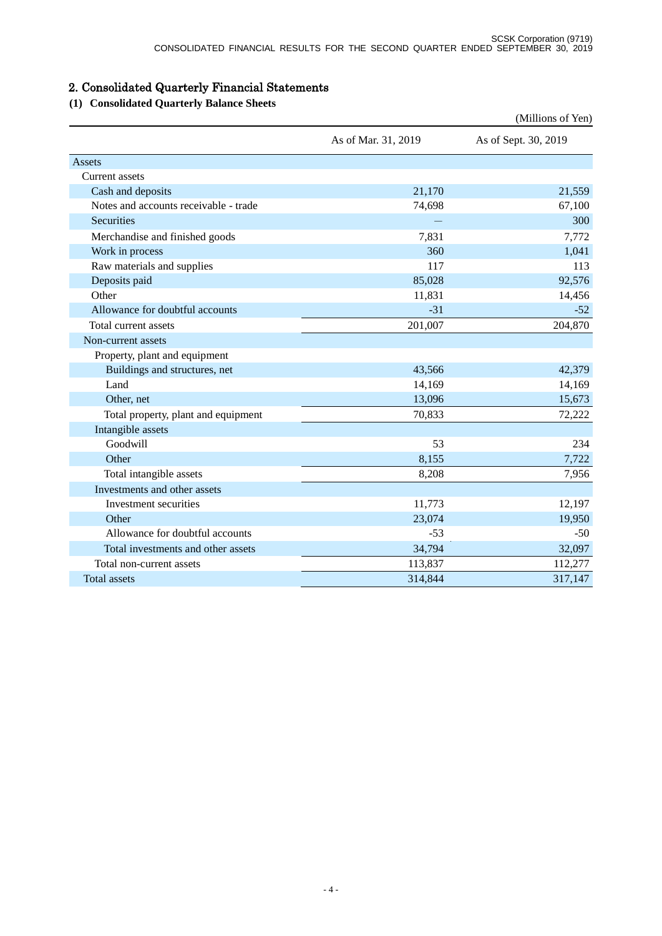# 2. Consolidated Quarterly Financial Statements

## **(1) Consolidated Quarterly Balance Sheets**

|                                       |                     | (Millions of Yen)    |
|---------------------------------------|---------------------|----------------------|
|                                       | As of Mar. 31, 2019 | As of Sept. 30, 2019 |
| Assets                                |                     |                      |
| <b>Current</b> assets                 |                     |                      |
| Cash and deposits                     | 21,170              | 21,559               |
| Notes and accounts receivable - trade | 74,698              | 67,100               |
| <b>Securities</b>                     |                     | 300                  |
| Merchandise and finished goods        | 7,831               | 7,772                |
| Work in process                       | 360                 | 1,041                |
| Raw materials and supplies            | 117                 | 113                  |
| Deposits paid                         | 85,028              | 92,576               |
| Other                                 | 11,831              | 14,456               |
| Allowance for doubtful accounts       | $-31$               | $-52$                |
| Total current assets                  | 201,007             | 204,870              |
| Non-current assets                    |                     |                      |
| Property, plant and equipment         |                     |                      |
| Buildings and structures, net         | 43,566              | 42,379               |
| Land                                  | 14,169              | 14,169               |
| Other, net                            | 13,096              | 15,673               |
| Total property, plant and equipment   | 70,833              | 72,222               |
| Intangible assets                     |                     |                      |
| Goodwill                              | 53                  | 234                  |
| Other                                 | 8,155               | 7,722                |
| Total intangible assets               | 8,208               | 7,956                |
| Investments and other assets          |                     |                      |
| Investment securities                 | 11,773              | 12,197               |
| Other                                 | 23,074              | 19,950               |
| Allowance for doubtful accounts       | $-53$               | $-50$                |
| Total investments and other assets    | 34,794              | 32,097               |
| Total non-current assets              | 113,837             | 112,277              |
| <b>Total assets</b>                   | 314,844             | 317,147              |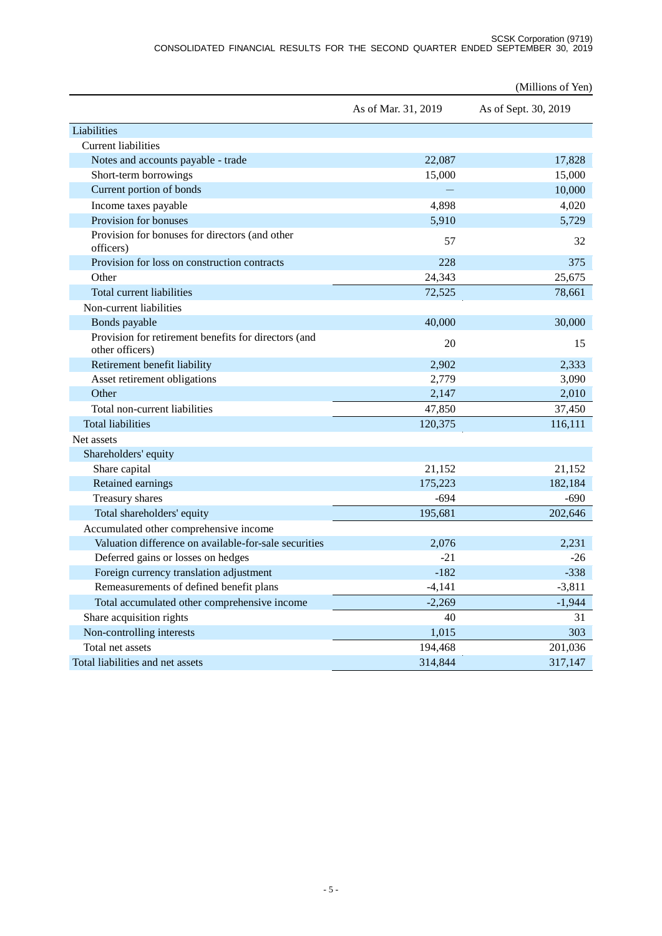|                                                                         |                     | (Millions of Yen)    |
|-------------------------------------------------------------------------|---------------------|----------------------|
|                                                                         | As of Mar. 31, 2019 | As of Sept. 30, 2019 |
| Liabilities                                                             |                     |                      |
| <b>Current liabilities</b>                                              |                     |                      |
| Notes and accounts payable - trade                                      | 22,087              | 17,828               |
| Short-term borrowings                                                   | 15,000              | 15,000               |
| Current portion of bonds                                                |                     | 10,000               |
| Income taxes payable                                                    | 4,898               | 4,020                |
| Provision for bonuses                                                   | 5,910               | 5,729                |
| Provision for bonuses for directors (and other<br>officers)             | 57                  | 32                   |
| Provision for loss on construction contracts                            | 228                 | 375                  |
| Other                                                                   | 24,343              | 25,675               |
| Total current liabilities                                               | 72,525              | 78,661               |
| Non-current liabilities                                                 |                     |                      |
| Bonds payable                                                           | 40,000              | 30,000               |
| Provision for retirement benefits for directors (and<br>other officers) | 20                  | 15                   |
| Retirement benefit liability                                            | 2,902               | 2,333                |
| Asset retirement obligations                                            | 2,779               | 3,090                |
| Other                                                                   | 2,147               | 2,010                |
| Total non-current liabilities                                           | 47,850              | 37,450               |
| <b>Total liabilities</b>                                                | 120,375             | 116,111              |
| Net assets                                                              |                     |                      |
| Shareholders' equity                                                    |                     |                      |
| Share capital                                                           | 21,152              | 21,152               |
| Retained earnings                                                       | 175,223             | 182,184              |
| Treasury shares                                                         | $-694$              | $-690$               |
| Total shareholders' equity                                              | 195,681             | 202,646              |
| Accumulated other comprehensive income                                  |                     |                      |
| Valuation difference on available-for-sale securities                   | 2,076               | 2,231                |
| Deferred gains or losses on hedges                                      | $-21$               | $-26$                |
| Foreign currency translation adjustment                                 | $-182$              | $-338$               |
| Remeasurements of defined benefit plans                                 | $-4,141$            | $-3,811$             |
| Total accumulated other comprehensive income                            | $-2,269$            | $-1,944$             |
| Share acquisition rights                                                | 40                  | 31                   |
| Non-controlling interests                                               | 1,015               | 303                  |
| Total net assets                                                        | 194,468             | 201,036              |
| Total liabilities and net assets                                        | 314,844             | 317,147              |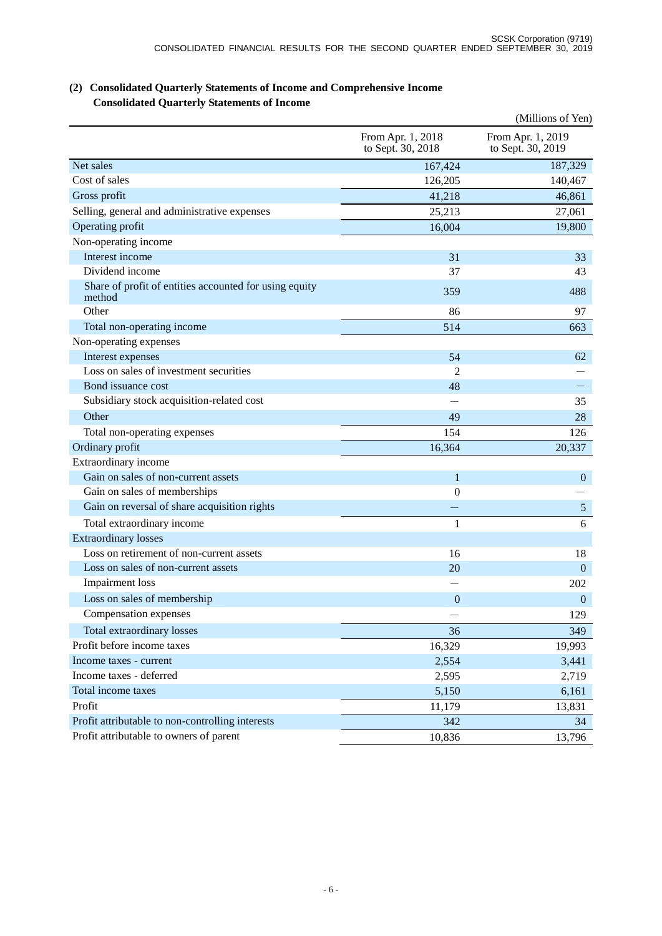|                                                                  |                                        | (Millions of Yen)                      |
|------------------------------------------------------------------|----------------------------------------|----------------------------------------|
|                                                                  | From Apr. 1, 2018<br>to Sept. 30, 2018 | From Apr. 1, 2019<br>to Sept. 30, 2019 |
| Net sales                                                        | 167,424                                | 187,329                                |
| Cost of sales                                                    | 126,205                                | 140,467                                |
| Gross profit                                                     | 41,218                                 | 46,861                                 |
| Selling, general and administrative expenses                     | 25,213                                 | 27,061                                 |
| Operating profit                                                 | 16,004                                 | 19,800                                 |
| Non-operating income                                             |                                        |                                        |
| Interest income                                                  | 31                                     | 33                                     |
| Dividend income                                                  | 37                                     | 43                                     |
| Share of profit of entities accounted for using equity<br>method | 359                                    | 488                                    |
| Other                                                            | 86                                     | 97                                     |
| Total non-operating income                                       | 514                                    | 663                                    |
| Non-operating expenses                                           |                                        |                                        |
| Interest expenses                                                | 54                                     | 62                                     |
| Loss on sales of investment securities                           | $\overline{2}$                         |                                        |
| Bond issuance cost                                               | 48                                     |                                        |
| Subsidiary stock acquisition-related cost                        |                                        | 35                                     |
| Other                                                            | 49                                     | 28                                     |
| Total non-operating expenses                                     | 154                                    | 126                                    |
| Ordinary profit                                                  | 16,364                                 | 20,337                                 |
| Extraordinary income                                             |                                        |                                        |
| Gain on sales of non-current assets                              | $\mathbf{1}$                           | $\mathbf{0}$                           |
| Gain on sales of memberships                                     | $\mathbf{0}$                           |                                        |
| Gain on reversal of share acquisition rights                     |                                        | $\mathfrak{S}$                         |
| Total extraordinary income                                       | 1                                      | 6                                      |
| <b>Extraordinary losses</b>                                      |                                        |                                        |
| Loss on retirement of non-current assets                         | 16                                     | 18                                     |
| Loss on sales of non-current assets                              | 20                                     | $\boldsymbol{0}$                       |
| Impairment loss                                                  |                                        | 202                                    |
| Loss on sales of membership                                      | $\overline{0}$                         | $\boldsymbol{0}$                       |
| Compensation expenses                                            |                                        | 129                                    |
| Total extraordinary losses                                       | 36                                     | 349                                    |
| Profit before income taxes                                       | 16,329                                 | 19,993                                 |
| Income taxes - current                                           | 2,554                                  | 3,441                                  |
| Income taxes - deferred                                          | 2,595                                  | 2,719                                  |
| Total income taxes                                               | 5,150                                  | 6,161                                  |
| Profit                                                           | 11,179                                 | 13,831                                 |
| Profit attributable to non-controlling interests                 | 342                                    | 34                                     |
| Profit attributable to owners of parent                          | 10,836                                 | 13,796                                 |

### **(2) Consolidated Quarterly Statements of Income and Comprehensive Income Consolidated Quarterly Statements of Income**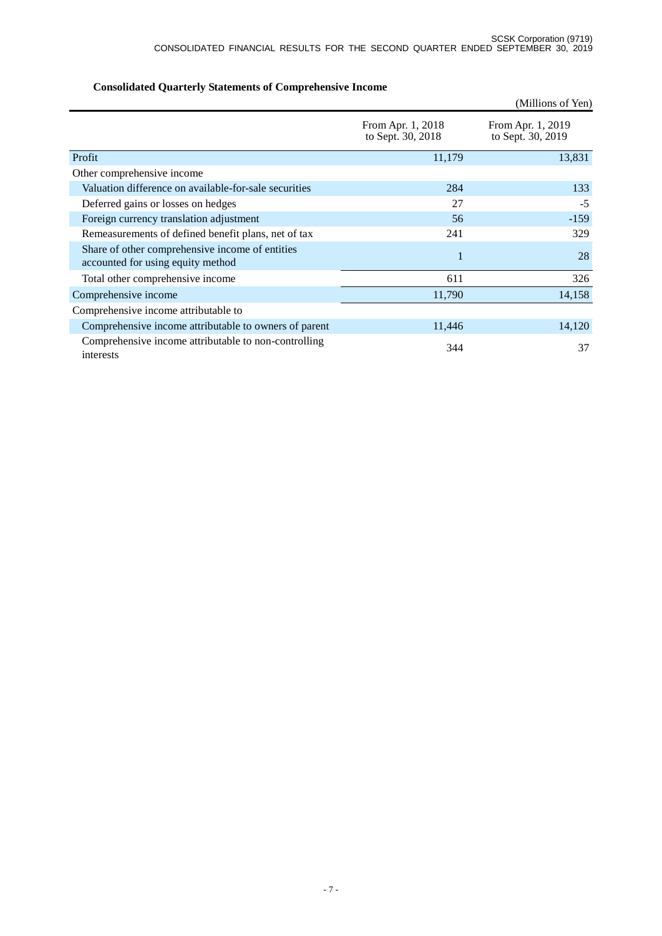|                                                                                      |                                        | (Millions of Yen)                      |
|--------------------------------------------------------------------------------------|----------------------------------------|----------------------------------------|
|                                                                                      | From Apr. 1, 2018<br>to Sept. 30, 2018 | From Apr. 1, 2019<br>to Sept. 30, 2019 |
| Profit                                                                               | 11,179                                 | 13,831                                 |
| Other comprehensive income                                                           |                                        |                                        |
| Valuation difference on available-for-sale securities                                | 284                                    | 133                                    |
| Deferred gains or losses on hedges                                                   | 27                                     | $-5$                                   |
| Foreign currency translation adjustment                                              | 56                                     | $-159$                                 |
| Remeasurements of defined benefit plans, net of tax                                  | 241                                    | 329                                    |
| Share of other comprehensive income of entities<br>accounted for using equity method | 1                                      | 28                                     |
| Total other comprehensive income                                                     | 611                                    | 326                                    |
| Comprehensive income                                                                 | 11,790                                 | 14,158                                 |
| Comprehensive income attributable to                                                 |                                        |                                        |
| Comprehensive income attributable to owners of parent                                | 11,446                                 | 14,120                                 |
| Comprehensive income attributable to non-controlling<br>interests                    | 344                                    | 37                                     |

## **Consolidated Quarterly Statements of Comprehensive Income**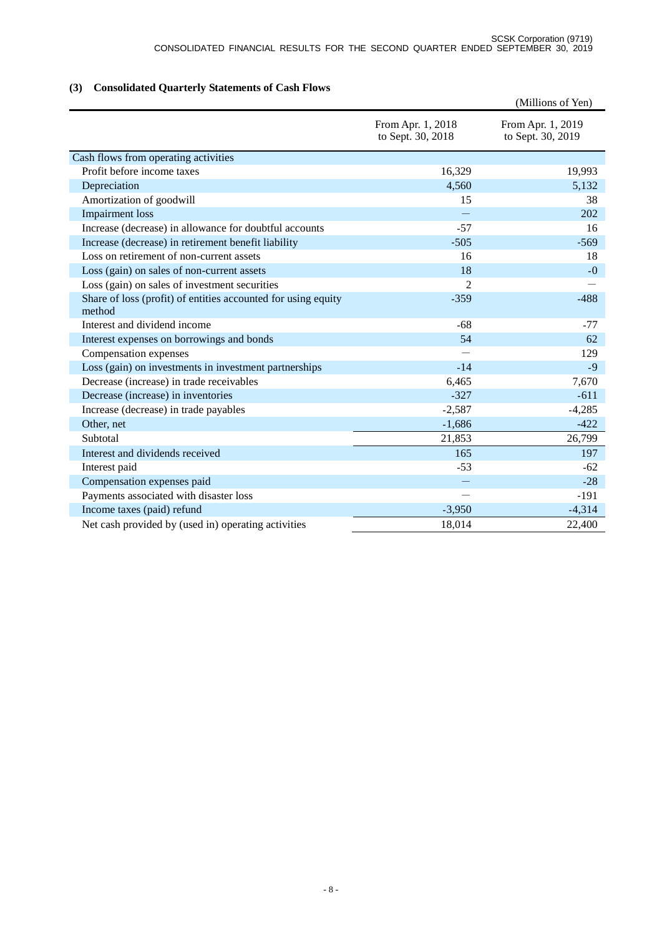## **(3) Consolidated Quarterly Statements of Cash Flows**

|                                                                         |                                        | (Millions of Yen)                      |
|-------------------------------------------------------------------------|----------------------------------------|----------------------------------------|
|                                                                         | From Apr. 1, 2018<br>to Sept. 30, 2018 | From Apr. 1, 2019<br>to Sept. 30, 2019 |
| Cash flows from operating activities                                    |                                        |                                        |
| Profit before income taxes                                              | 16,329                                 | 19,993                                 |
| Depreciation                                                            | 4,560                                  | 5,132                                  |
| Amortization of goodwill                                                | 15                                     | 38                                     |
| <b>Impairment</b> loss                                                  |                                        | 202                                    |
| Increase (decrease) in allowance for doubtful accounts                  | $-57$                                  | 16                                     |
| Increase (decrease) in retirement benefit liability                     | $-505$                                 | $-569$                                 |
| Loss on retirement of non-current assets                                | 16                                     | 18                                     |
| Loss (gain) on sales of non-current assets                              | 18                                     | $-0$                                   |
| Loss (gain) on sales of investment securities                           | 2                                      |                                        |
| Share of loss (profit) of entities accounted for using equity<br>method | $-359$                                 | $-488$                                 |
| Interest and dividend income                                            | $-68$                                  | $-77$                                  |
| Interest expenses on borrowings and bonds                               | 54                                     | 62                                     |
| Compensation expenses                                                   |                                        | 129                                    |
| Loss (gain) on investments in investment partnerships                   | $-14$                                  | $-9$                                   |
| Decrease (increase) in trade receivables                                | 6,465                                  | 7,670                                  |
| Decrease (increase) in inventories                                      | $-327$                                 | $-611$                                 |
| Increase (decrease) in trade payables                                   | $-2,587$                               | $-4,285$                               |
| Other, net                                                              | $-1,686$                               | $-422$                                 |
| Subtotal                                                                | 21,853                                 | 26,799                                 |
| Interest and dividends received                                         | 165                                    | 197                                    |
| Interest paid                                                           | $-53$                                  | $-62$                                  |
| Compensation expenses paid                                              | -                                      | $-28$                                  |
| Payments associated with disaster loss                                  |                                        | $-191$                                 |
| Income taxes (paid) refund                                              | $-3,950$                               | $-4,314$                               |
| Net cash provided by (used in) operating activities                     | 18,014                                 | 22,400                                 |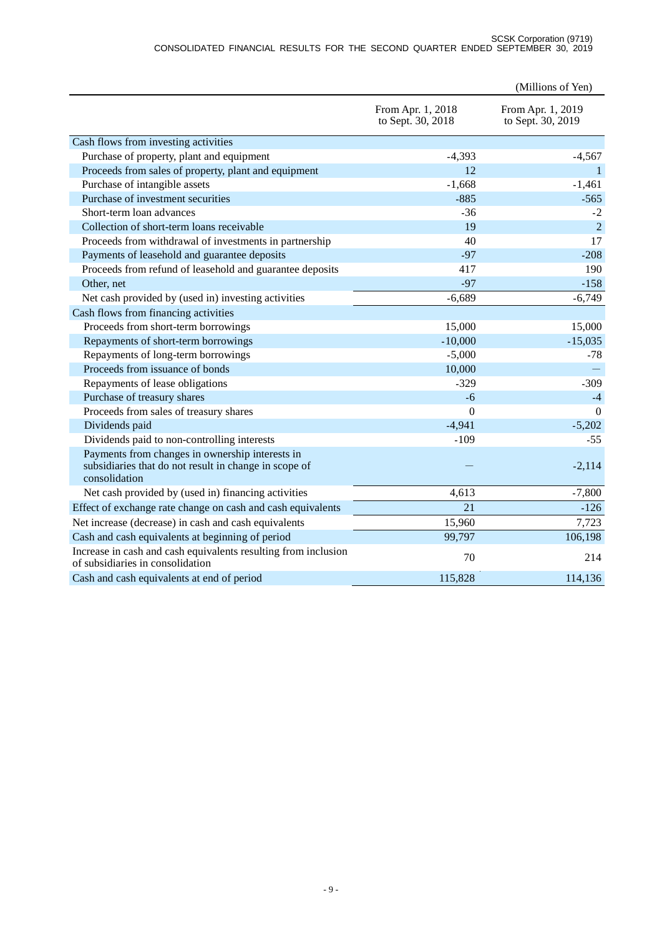#### SCSK Corporation (9719) CONSOLIDATED FINANCIAL RESULTS FOR THE SECOND QUARTER ENDED SEPTEMBER 30, 2019

|                                                                                                                           |                                        | (Millions of Yen)                      |
|---------------------------------------------------------------------------------------------------------------------------|----------------------------------------|----------------------------------------|
|                                                                                                                           | From Apr. 1, 2018<br>to Sept. 30, 2018 | From Apr. 1, 2019<br>to Sept. 30, 2019 |
| Cash flows from investing activities                                                                                      |                                        |                                        |
| Purchase of property, plant and equipment                                                                                 | $-4,393$                               | $-4,567$                               |
| Proceeds from sales of property, plant and equipment                                                                      | 12                                     | -1                                     |
| Purchase of intangible assets                                                                                             | $-1,668$                               | $-1,461$                               |
| Purchase of investment securities                                                                                         | $-885$                                 | $-565$                                 |
| Short-term loan advances                                                                                                  | $-36$                                  | $-2$                                   |
| Collection of short-term loans receivable                                                                                 | 19                                     | $\overline{2}$                         |
| Proceeds from withdrawal of investments in partnership                                                                    | 40                                     | 17                                     |
| Payments of leasehold and guarantee deposits                                                                              | $-97$                                  | $-208$                                 |
| Proceeds from refund of leasehold and guarantee deposits                                                                  | 417                                    | 190                                    |
| Other, net                                                                                                                | $-97$                                  | $-158$                                 |
| Net cash provided by (used in) investing activities                                                                       | $-6,689$                               | $-6,749$                               |
| Cash flows from financing activities                                                                                      |                                        |                                        |
| Proceeds from short-term borrowings                                                                                       | 15,000                                 | 15,000                                 |
| Repayments of short-term borrowings                                                                                       | $-10,000$                              | $-15,035$                              |
| Repayments of long-term borrowings                                                                                        | $-5,000$                               | $-78$                                  |
| Proceeds from issuance of bonds                                                                                           | 10,000                                 |                                        |
| Repayments of lease obligations                                                                                           | $-329$                                 | $-309$                                 |
| Purchase of treasury shares                                                                                               | $-6$                                   | $-4$                                   |
| Proceeds from sales of treasury shares                                                                                    | $\overline{0}$                         | $\Omega$                               |
| Dividends paid                                                                                                            | $-4,941$                               | $-5,202$                               |
| Dividends paid to non-controlling interests                                                                               | $-109$                                 | $-55$                                  |
| Payments from changes in ownership interests in<br>subsidiaries that do not result in change in scope of<br>consolidation |                                        | $-2,114$                               |
| Net cash provided by (used in) financing activities                                                                       | 4,613                                  | $-7,800$                               |
| Effect of exchange rate change on cash and cash equivalents                                                               | 21                                     | $-126$                                 |
| Net increase (decrease) in cash and cash equivalents                                                                      | 15,960                                 | 7,723                                  |
| Cash and cash equivalents at beginning of period                                                                          | 99,797                                 | 106,198                                |
| Increase in cash and cash equivalents resulting from inclusion<br>of subsidiaries in consolidation                        | 70                                     | 214                                    |
| Cash and cash equivalents at end of period                                                                                | 115,828                                | 114,136                                |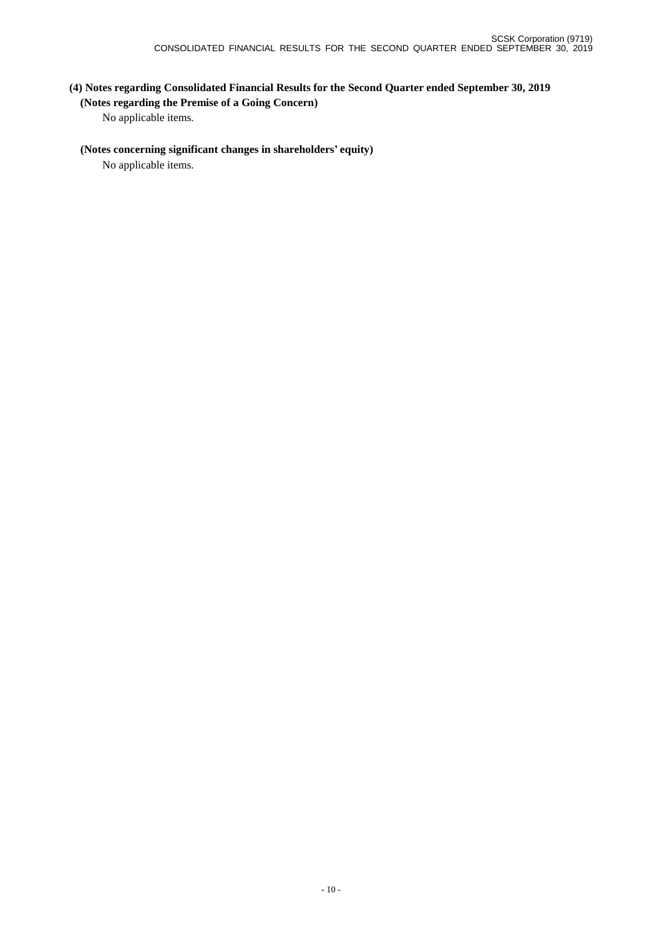## **(4) Notes regarding Consolidated Financial Results for the Second Quarter ended September 30, 2019 (Notes regarding the Premise of a Going Concern)**

No applicable items.

### **(Notes concerning significant changes in shareholders' equity)**

No applicable items.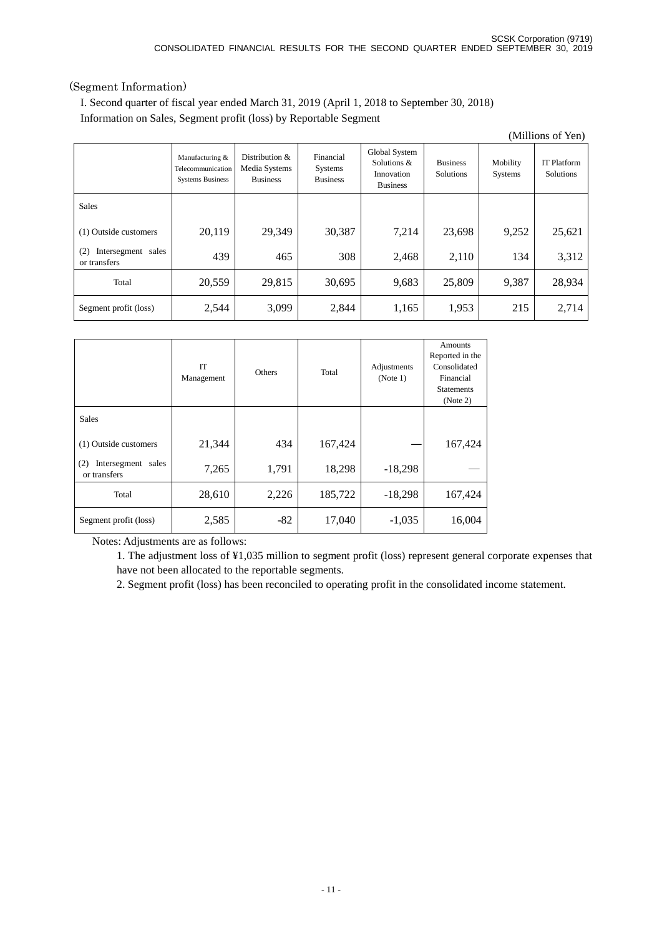### (Segment Information)

I. Second quarter of fiscal year ended March 31, 2019 (April 1, 2018 to September 30, 2018) Information on Sales, Segment profit (loss) by Reportable Segment

| (Millions of Yen)                            |                                                                 |                                                       |                                         |                                                               |                              |                     |                                        |
|----------------------------------------------|-----------------------------------------------------------------|-------------------------------------------------------|-----------------------------------------|---------------------------------------------------------------|------------------------------|---------------------|----------------------------------------|
|                                              | Manufacturing &<br>Telecommunication<br><b>Systems Business</b> | Distribution $\&$<br>Media Systems<br><b>Business</b> | Financial<br>Systems<br><b>Business</b> | Global System<br>Solutions &<br>Innovation<br><b>Business</b> | <b>Business</b><br>Solutions | Mobility<br>Systems | <b>IT Platform</b><br><b>Solutions</b> |
| <b>Sales</b>                                 |                                                                 |                                                       |                                         |                                                               |                              |                     |                                        |
| (1) Outside customers                        | 20,119                                                          | 29,349                                                | 30,387                                  | 7,214                                                         | 23,698                       | 9,252               | 25,621                                 |
| Intersegment<br>(2)<br>sales<br>or transfers | 439                                                             | 465                                                   | 308                                     | 2,468                                                         | 2,110                        | 134                 | 3,312                                  |
| Total                                        | 20,559                                                          | 29,815                                                | 30,695                                  | 9,683                                                         | 25,809                       | 9,387               | 28,934                                 |
| Segment profit (loss)                        | 2,544                                                           | 3,099                                                 | 2,844                                   | 1,165                                                         | 1,953                        | 215                 | 2,714                                  |

|                                           | <b>IT</b><br>Management | <b>Others</b> | Total   | Adjustments<br>(Note 1) | <b>Amounts</b><br>Reported in the<br>Consolidated<br>Financial<br><b>Statements</b><br>(Note 2) |
|-------------------------------------------|-------------------------|---------------|---------|-------------------------|-------------------------------------------------------------------------------------------------|
| <b>Sales</b>                              |                         |               |         |                         |                                                                                                 |
| (1) Outside customers                     | 21,344                  | 434           | 167,424 |                         | 167,424                                                                                         |
| Intersegment sales<br>(2)<br>or transfers | 7,265                   | 1,791         | 18,298  | $-18,298$               |                                                                                                 |
| Total                                     | 28,610                  | 2,226         | 185,722 | $-18,298$               | 167,424                                                                                         |
| Segment profit (loss)                     | 2,585                   | $-82$         | 17,040  | $-1,035$                | 16,004                                                                                          |

Notes: Adjustments are as follows:

1. The adjustment loss of ¥1,035 million to segment profit (loss) represent general corporate expenses that have not been allocated to the reportable segments.

2. Segment profit (loss) has been reconciled to operating profit in the consolidated income statement.